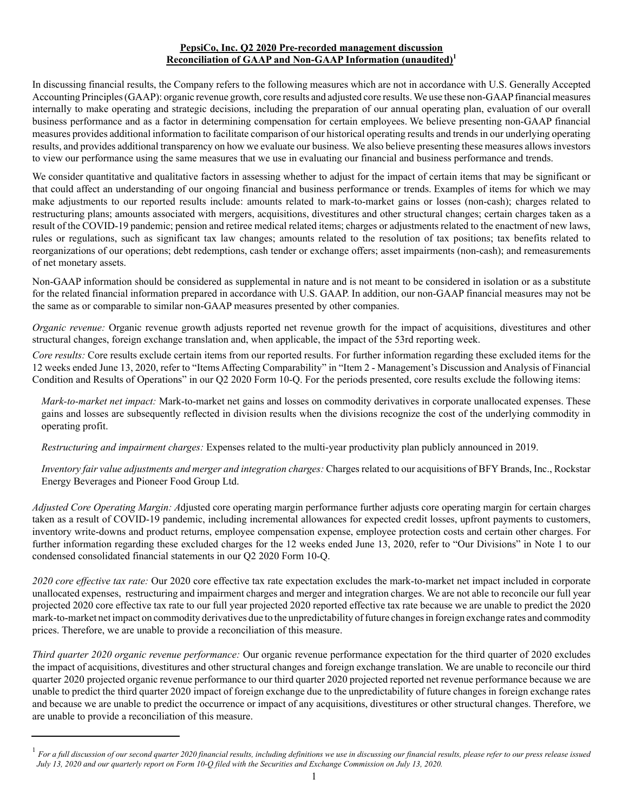## **PepsiCo, Inc. Q2 2020 Pre-recorded management discussion Reconciliation of GAAP and Non-GAAP Information (unaudited)<sup>1</sup>**

In discussing financial results, the Company refers to the following measures which are not in accordance with U.S. Generally Accepted Accounting Principles (GAAP): organic revenue growth, core results and adjusted core results. We use these non-GAAPfinancial measures internally to make operating and strategic decisions, including the preparation of our annual operating plan, evaluation of our overall business performance and as a factor in determining compensation for certain employees. We believe presenting non-GAAP financial measures provides additional information to facilitate comparison of our historical operating results and trends in our underlying operating results, and provides additional transparency on how we evaluate our business. We also believe presenting these measures allows investors to view our performance using the same measures that we use in evaluating our financial and business performance and trends.

We consider quantitative and qualitative factors in assessing whether to adjust for the impact of certain items that may be significant or that could affect an understanding of our ongoing financial and business performance or trends. Examples of items for which we may make adjustments to our reported results include: amounts related to mark-to-market gains or losses (non-cash); charges related to restructuring plans; amounts associated with mergers, acquisitions, divestitures and other structural changes; certain charges taken as a result of the COVID-19 pandemic; pension and retiree medical related items; charges or adjustments related to the enactment of new laws, rules or regulations, such as significant tax law changes; amounts related to the resolution of tax positions; tax benefits related to reorganizations of our operations; debt redemptions, cash tender or exchange offers; asset impairments (non-cash); and remeasurements of net monetary assets.

Non-GAAP information should be considered as supplemental in nature and is not meant to be considered in isolation or as a substitute for the related financial information prepared in accordance with U.S. GAAP. In addition, our non-GAAPfinancial measures may not be the same as or comparable to similar non-GAAP measures presented by other companies.

*Organic revenue:* Organic revenue growth adjusts reported net revenue growth for the impact of acquisitions, divestitures and other structural changes, foreign exchange translation and, when applicable, the impact of the 53rd reporting week.

*Core results:* Core results exclude certain items from our reported results. For further information regarding these excluded items for the 12 weeks ended June 13, 2020, refer to "Items Affecting Comparability" in "Item 2 - Management's Discussion and Analysis of Financial Condition and Results of Operations" in our Q2 2020 Form 10-Q. For the periods presented, core results exclude the following items:

*Mark-to-market net impact:* Mark-to-market net gains and losses on commodity derivatives in corporate unallocated expenses. These gains and losses are subsequently reflected in division results when the divisions recognize the cost of the underlying commodity in operating profit.

*Restructuring and impairment charges:* Expenses related to the multi-year productivity plan publicly announced in 2019.

*Inventory fair value adjustments and merger and integration charges:* Charges related to our acquisitions of BFY Brands, Inc., Rockstar Energy Beverages and Pioneer Food Group Ltd.

*Adjusted Core Operating Margin: A*djusted core operating margin performance further adjusts core operating margin for certain charges taken as a result of COVID-19 pandemic, including incremental allowances for expected credit losses, upfront payments to customers, inventory write-downs and product returns, employee compensation expense, employee protection costs and certain other charges. For further information regarding these excluded charges for the 12 weeks ended June 13, 2020, refer to "Our Divisions" in Note 1 to our condensed consolidated financial statements in our Q2 2020 Form 10-Q.

*2020 core effective tax rate:* Our 2020 core effective tax rate expectation excludes the mark-to-market net impact included in corporate unallocated expenses, restructuring and impairment charges and merger and integration charges. We are not able to reconcile our full year projected 2020 core effective tax rate to our full year projected 2020 reported effective tax rate because we are unable to predict the 2020 mark-to-market net impact on commodity derivatives due to the unpredictability of future changes in foreign exchange rates and commodity prices. Therefore, we are unable to provide a reconciliation of this measure.

*Third quarter 2020 organic revenue performance:* Our organic revenue performance expectation for the third quarter of 2020 excludes the impact of acquisitions, divestitures and other structural changes and foreign exchange translation. We are unable to reconcile our third quarter 2020 projected organic revenue performance to our third quarter 2020 projected reported net revenue performance because we are unable to predict the third quarter 2020 impact of foreign exchange due to the unpredictability of future changes in foreign exchange rates and because we are unable to predict the occurrence or impact of any acquisitions, divestitures or other structural changes. Therefore, we are unable to provide a reconciliation of this measure.

<sup>&</sup>lt;sup>1</sup> For a full discussion of our second quarter 2020 financial results, including definitions we use in discussing our financial results, please refer to our press release issued *July 13, 2020 and our quarterly report on Form 10-Q filed with the Securities and Exchange Commission on July 13, 2020.*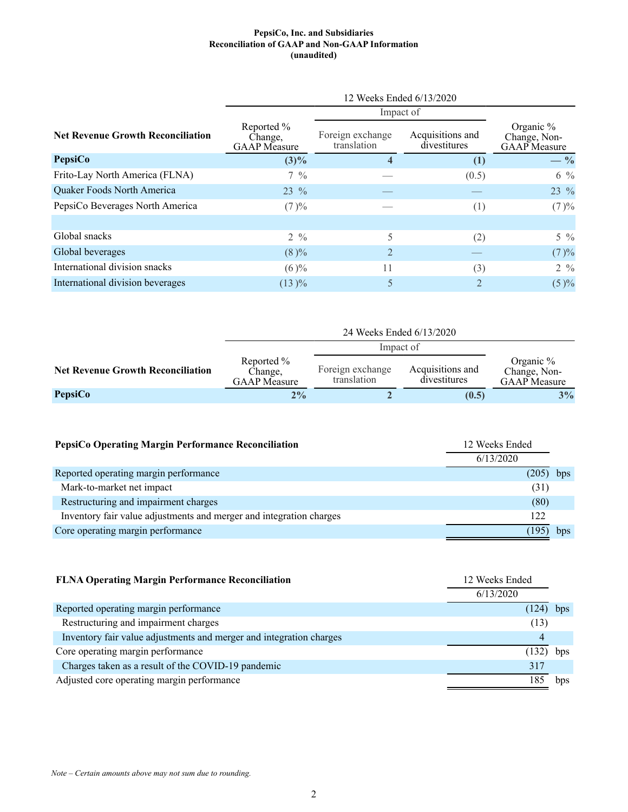## **PepsiCo, Inc. and Subsidiaries Reconciliation of GAAP and Non-GAAP Information (unaudited)**

|                                          | 12 Weeks Ended 6/13/2020                     |                                 |                                  |                                                    |  |
|------------------------------------------|----------------------------------------------|---------------------------------|----------------------------------|----------------------------------------------------|--|
|                                          |                                              |                                 |                                  |                                                    |  |
| <b>Net Revenue Growth Reconciliation</b> | Reported %<br>Change,<br><b>GAAP</b> Measure | Foreign exchange<br>translation | Acquisitions and<br>divestitures | Organic $%$<br>Change, Non-<br><b>GAAP</b> Measure |  |
| PepsiCo                                  | $(3)\%$                                      | $\overline{4}$                  | (1)                              | $-$ %                                              |  |
| Frito-Lay North America (FLNA)           | $7\frac{9}{6}$                               |                                 | (0.5)                            | $6\frac{9}{6}$                                     |  |
| <b>Quaker Foods North America</b>        | $23\%$                                       |                                 |                                  | 23 %                                               |  |
| PepsiCo Beverages North America          | (7)%                                         |                                 | (1)                              | (7)%                                               |  |
|                                          |                                              |                                 |                                  |                                                    |  |
| Global snacks                            | $2 \frac{9}{6}$                              | 5                               | (2)                              | $5\frac{9}{6}$                                     |  |
| Global beverages                         | (8)%                                         | 2                               |                                  | (7)%                                               |  |
| International division snacks            | $(6) \%$                                     | 11                              | (3)                              | $2 \frac{9}{6}$                                    |  |
| International division beverages         | $(13)\%$                                     | 5                               |                                  | (5)%                                               |  |
|                                          |                                              |                                 |                                  |                                                    |  |

|                                          | 24 Weeks Ended 6/13/2020                     |                                 |                                  |                                                    |
|------------------------------------------|----------------------------------------------|---------------------------------|----------------------------------|----------------------------------------------------|
|                                          |                                              | Impact of                       |                                  |                                                    |
| <b>Net Revenue Growth Reconciliation</b> | Reported %<br>Change,<br><b>GAAP</b> Measure | Foreign exchange<br>translation | Acquisitions and<br>divestitures | Organic $%$<br>Change, Non-<br><b>GAAP</b> Measure |
| PepsiCo                                  | $2\%$                                        |                                 | (0.5)                            | 3%                                                 |

| PepsiCo Operating Margin Performance Reconciliation                 | 12 Weeks Ended |     |
|---------------------------------------------------------------------|----------------|-----|
|                                                                     | 6/13/2020      |     |
| Reported operating margin performance                               |                | bps |
| Mark-to-market net impact                                           | (31)           |     |
| Restructuring and impairment charges                                | (80)           |     |
| Inventory fair value adjustments and merger and integration charges | 122.           |     |
| Core operating margin performance                                   |                | bps |

| <b>FLNA Operating Margin Performance Reconciliation</b>             | 12 Weeks Ended |     |
|---------------------------------------------------------------------|----------------|-----|
|                                                                     | 6/13/2020      |     |
| Reported operating margin performance                               | 124)           | bps |
| Restructuring and impairment charges                                | (13)           |     |
| Inventory fair value adjustments and merger and integration charges | 4              |     |
| Core operating margin performance                                   | (132)          | bps |
| Charges taken as a result of the COVID-19 pandemic                  | 317            |     |
| Adjusted core operating margin performance                          |                | bps |